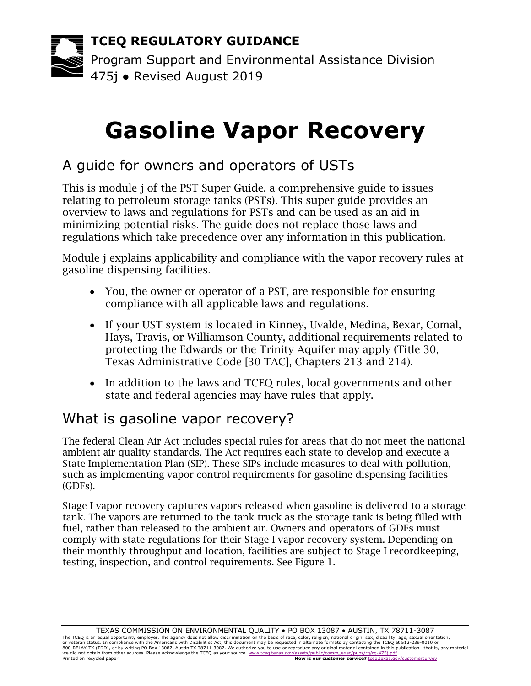# **Gasoline Vapor Recovery**

# A guide for owners and operators of USTs

This is module j of the PST Super Guide, a comprehensive guide to issues relating to petroleum storage tanks (PSTs). This super guide provides an overview to laws and regulations for PSTs and can be used as an aid in minimizing potential risks. The guide does not replace those laws and regulations which take precedence over any information in this publication.

Module j explains applicability and compliance with the vapor recovery rules at gasoline dispensing facilities.

- You, the owner or operator of a PST, are responsible for ensuring compliance with all applicable laws and regulations.
- If your UST system is located in Kinney, Uvalde, Medina, Bexar, Comal, Hays, Travis, or Williamson County, additional requirements related to protecting the Edwards or the Trinity Aquifer may apply (Title 30, Texas Administrative Code [30 TAC], Chapters 213 and 214).
- In addition to the laws and TCEO rules, local governments and other state and federal agencies may have rules that apply.

## What is gasoline vapor recovery?

The federal Clean Air Act includes special rules for areas that do not meet the national ambient air quality standards. The Act requires each state to develop and execute a State Implementation Plan (SIP). These SIPs include measures to deal with pollution, such as implementing vapor control requirements for gasoline dispensing facilities (GDFs).

Stage I vapor recovery captures vapors released when gasoline is delivered to a storage tank. The vapors are returned to the tank truck as the storage tank is being filled with fuel, rather than released to the ambient air. Owners and operators of GDFs must comply with state regulations for their Stage I vapor recovery system. Depending on their monthly throughput and location, facilities are subject to Stage I recordkeeping, testing, inspection, and control requirements. See Figure 1.

we did not obtain from other sources. Please acknowledge the TCEQ as your source. www.tceq.texas.gov/assets/public/comm\_exec/pubs/rg/rg-475j.pdf<br>Printed on recycled paper. Creq.texas.gov Printed on recycled paper. **How is our customer service?** [tceq.texas.gov/customersurvey](https://www.tceq.texas.gov/customersurvey)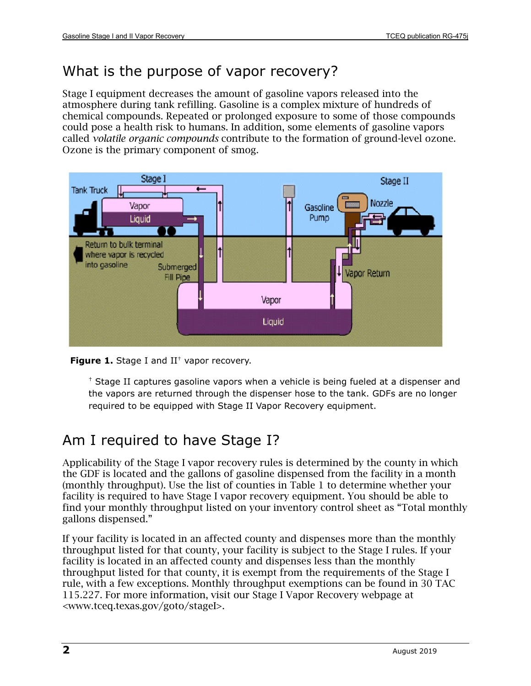### What is the purpose of vapor recovery?

Stage I equipment decreases the amount of gasoline vapors released into the atmosphere during tank refilling. Gasoline is a complex mixture of hundreds of chemical compounds. Repeated or prolonged exposure to some of those compounds could pose a health risk to humans. In addition, some elements of gasoline vapors called *volatile organic compounds* contribute to the formation of ground-level ozone. Ozone is the primary component of smog.



**Figure 1.** Stage I and II<sup>+</sup> vapor recovery.

† Stage II captures gasoline vapors when a vehicle is being fueled at a dispenser and the vapors are returned through the dispenser hose to the tank. GDFs are no longer required to be equipped with Stage II Vapor Recovery equipment.

# Am I required to have Stage I?

Applicability of the Stage I vapor recovery rules is determined by the county in which the GDF is located and the gallons of gasoline dispensed from the facility in a month (monthly throughput). Use the list of counties in Table 1 to determine whether your facility is required to have Stage I vapor recovery equipment. You should be able to find your monthly throughput listed on your inventory control sheet as "Total monthly gallons dispensed."

If your facility is located in an affected county and dispenses more than the monthly throughput listed for that county, your facility is subject to the Stage I rules. If your facility is located in an affected county and dispenses less than the monthly throughput listed for that county, it is exempt from the requirements of the Stage I rule, with a few exceptions. Monthly throughput exemptions can be found in 30 TAC 115.227. For more information, visit our Stage I Vapor Recovery webpage at [<www.tceq.texas.gov/goto/stageI>.](http://www.tceq.texas.gov/goto/stageI)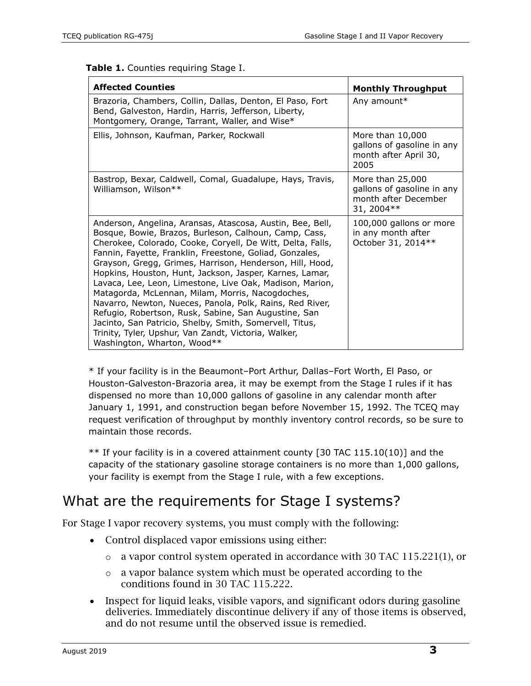|  |  |  | Table 1. Counties requiring Stage I. |  |
|--|--|--|--------------------------------------|--|
|--|--|--|--------------------------------------|--|

| <b>Affected Counties</b>                                                                                                                                                                                                                                                                                                                                                                                                                                                                                                                                                                                                                                                                                                                                 | <b>Monthly Throughput</b>                                                             |
|----------------------------------------------------------------------------------------------------------------------------------------------------------------------------------------------------------------------------------------------------------------------------------------------------------------------------------------------------------------------------------------------------------------------------------------------------------------------------------------------------------------------------------------------------------------------------------------------------------------------------------------------------------------------------------------------------------------------------------------------------------|---------------------------------------------------------------------------------------|
| Brazoria, Chambers, Collin, Dallas, Denton, El Paso, Fort<br>Bend, Galveston, Hardin, Harris, Jefferson, Liberty,<br>Montgomery, Orange, Tarrant, Waller, and Wise*                                                                                                                                                                                                                                                                                                                                                                                                                                                                                                                                                                                      | Any amount*                                                                           |
| Ellis, Johnson, Kaufman, Parker, Rockwall                                                                                                                                                                                                                                                                                                                                                                                                                                                                                                                                                                                                                                                                                                                | More than 10,000<br>gallons of gasoline in any<br>month after April 30,<br>2005       |
| Bastrop, Bexar, Caldwell, Comal, Guadalupe, Hays, Travis,<br>Williamson, Wilson**                                                                                                                                                                                                                                                                                                                                                                                                                                                                                                                                                                                                                                                                        | More than 25,000<br>gallons of gasoline in any<br>month after December<br>31, 2004 ** |
| Anderson, Angelina, Aransas, Atascosa, Austin, Bee, Bell,<br>Bosque, Bowie, Brazos, Burleson, Calhoun, Camp, Cass,<br>Cherokee, Colorado, Cooke, Coryell, De Witt, Delta, Falls,<br>Fannin, Fayette, Franklin, Freestone, Goliad, Gonzales,<br>Grayson, Gregg, Grimes, Harrison, Henderson, Hill, Hood,<br>Hopkins, Houston, Hunt, Jackson, Jasper, Karnes, Lamar,<br>Lavaca, Lee, Leon, Limestone, Live Oak, Madison, Marion,<br>Matagorda, McLennan, Milam, Morris, Nacogdoches,<br>Navarro, Newton, Nueces, Panola, Polk, Rains, Red River,<br>Refugio, Robertson, Rusk, Sabine, San Augustine, San<br>Jacinto, San Patricio, Shelby, Smith, Somervell, Titus,<br>Trinity, Tyler, Upshur, Van Zandt, Victoria, Walker,<br>Washington, Wharton, Wood** | 100,000 gallons or more<br>in any month after<br>October 31, 2014**                   |

\* If your facility is in the Beaumont–Port Arthur, Dallas–Fort Worth, El Paso, or Houston-Galveston-Brazoria area, it may be exempt from the Stage I rules if it has dispensed no more than 10,000 gallons of gasoline in any calendar month after January 1, 1991, and construction began before November 15, 1992. The TCEQ may request verification of throughput by monthly inventory control records, so be sure to maintain those records.

 $**$  If your facility is in a covered attainment county [30 TAC 115.10(10)] and the capacity of the stationary gasoline storage containers is no more than 1,000 gallons, your facility is exempt from the Stage I rule, with a few exceptions.

#### What are the requirements for Stage I systems?

For Stage I vapor recovery systems, you must comply with the following:

- Control displaced vapor emissions using either:
	- o a vapor control system operated in accordance with 30 TAC 115.221(1), or
	- o a vapor balance system which must be operated according to the conditions found in 30 TAC 115.222.
- Inspect for liquid leaks, visible vapors, and significant odors during gasoline deliveries. Immediately discontinue delivery if any of those items is observed, and do not resume until the observed issue is remedied.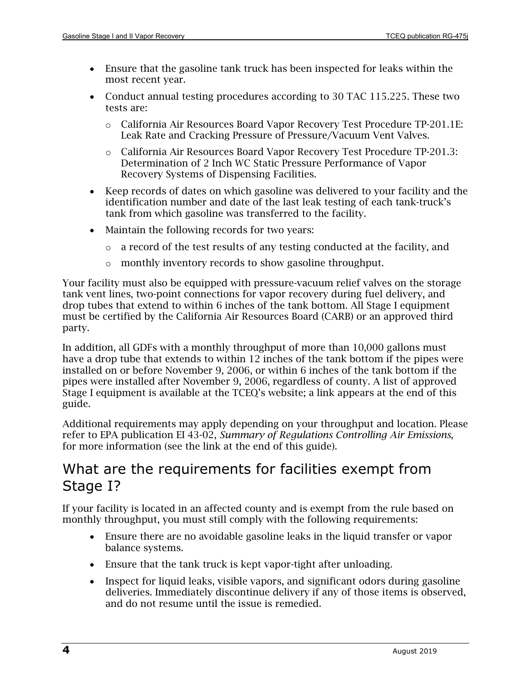- Ensure that the gasoline tank truck has been inspected for leaks within the most recent year.
- Conduct annual testing procedures according to 30 TAC 115.225. These two tests are:
	- o California Air Resources Board Vapor Recovery Test Procedure TP-201.1E: Leak Rate and Cracking Pressure of Pressure/Vacuum Vent Valves.
	- o California Air Resources Board Vapor Recovery Test Procedure TP-201.3: Determination of 2 Inch WC Static Pressure Performance of Vapor Recovery Systems of Dispensing Facilities.
- Keep records of dates on which gasoline was delivered to your facility and the identification number and date of the last leak testing of each tank-truck's tank from which gasoline was transferred to the facility.
- Maintain the following records for two years:
	- $\circ$  a record of the test results of any testing conducted at the facility, and
	- o monthly inventory records to show gasoline throughput.

Your facility must also be equipped with pressure-vacuum relief valves on the storage tank vent lines, two-point connections for vapor recovery during fuel delivery, and drop tubes that extend to within 6 inches of the tank bottom. All Stage I equipment must be certified by the California Air Resources Board (CARB) or an approved third party.

In addition, all GDFs with a monthly throughput of more than 10,000 gallons must have a drop tube that extends to within 12 inches of the tank bottom if the pipes were installed on or before November 9, 2006, or within 6 inches of the tank bottom if the pipes were installed after November 9, 2006, regardless of county. A list of approved Stage I equipment is available at the TCEQ's website; a link appears at the end of this guide.

Additional requirements may apply depending on your throughput and location. Please refer to EPA publication EI 43-02, *Summary of Regulations Controlling Air Emissions*, for more information (see the link at the end of this guide).

#### What are the requirements for facilities exempt from Stage I?

If your facility is located in an affected county and is exempt from the rule based on monthly throughput, you must still comply with the following requirements:

- Ensure there are no avoidable gasoline leaks in the liquid transfer or vapor balance systems.
- Ensure that the tank truck is kept vapor-tight after unloading.
- Inspect for liquid leaks, visible vapors, and significant odors during gasoline deliveries. Immediately discontinue delivery if any of those items is observed, and do not resume until the issue is remedied.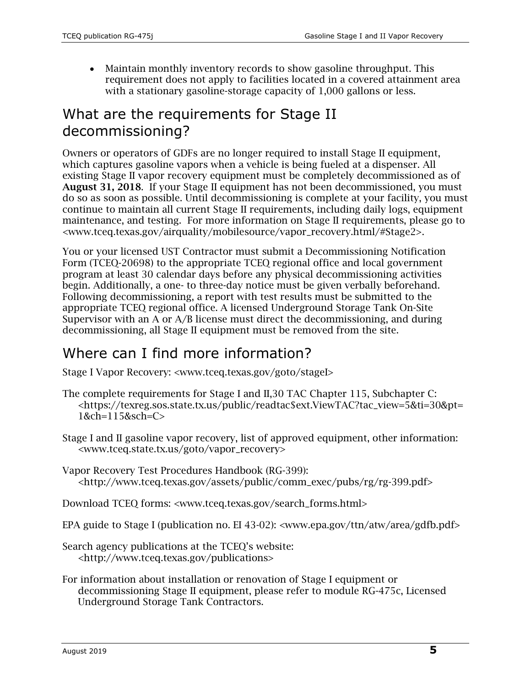• Maintain monthly inventory records to show gasoline throughput. This requirement does not apply to facilities located in a covered attainment area with a stationary gasoline-storage capacity of 1,000 gallons or less.

## What are the requirements for Stage II decommissioning?

Owners or operators of GDFs are no longer required to install Stage II equipment, which captures gasoline vapors when a vehicle is being fueled at a dispenser. All existing Stage II vapor recovery equipment must be completely decommissioned as of August 31, 2018. If your Stage II equipment has not been decommissioned, you must do so as soon as possible. Until decommissioning is complete at your facility, you must continue to maintain all current Stage II requirements, including daily logs, equipment maintenance, and testing. For more information on Stage II requirements, please go to [<www.tceq.texas.gov/airquality/mobilesource/vapor\\_recovery.html/#Stage2>.](https://www.tceq.texas.gov/airquality/mobilesource/vapor_recovery.html/#Stage2)

You or your licensed UST Contractor must submit a Decommissioning Notification Form (TCEQ-20698) to the appropriate TCEQ regional office and local government program at least 30 calendar days before any physical decommissioning activities begin. Additionally, a one- to three-day notice must be given verbally beforehand. Following decommissioning, a report with test results must be submitted to the appropriate TCEQ regional office. A licensed Underground Storage Tank On-Site Supervisor with an A or A/B license must direct the decommissioning, and during decommissioning, all Stage II equipment must be removed from the site.

## Where can I find more information?

Stage I Vapor Recovery: [<www.tceq.texas.gov/goto/stageI>](http://www.tceq.texas.gov/goto/stageI)

- The complete requirements for Stage I and II,30 TAC Chapter 115, Subchapter C: [<https://texreg.sos.state.tx.us/public/readtac\\$ext.ViewTAC?tac\\_view=5&ti=30&pt=](https://texreg.sos.state.tx.us/public/readtac$ext.ViewTAC?tac_view=5&ti=30&pt=1&ch=115&sch=C) [1&ch=115&sch=C>](https://texreg.sos.state.tx.us/public/readtac$ext.ViewTAC?tac_view=5&ti=30&pt=1&ch=115&sch=C)
- Stage I and II gasoline vapor recovery, list of approved equipment, other information: [<www.tceq.state.tx.us/goto/vapor\\_recovery>](https://www.tceq.texas.gov/airquality/mobilesource/vapor_recovery.html)
- Vapor Recovery Test Procedures Handbook (RG-399): [<http://www.tceq.texas.gov/assets/public/comm\\_exec/pubs/rg/rg-399.pdf>](http://www.tceq.texas.gov/assets/public/comm_exec/pubs/rg/rg-399.pdf)
- Download TCEQ forms: [<www.tceq.texas.gov/search\\_forms.html>](http://www.tceq.texas.gov/search_forms.html)
- EPA guide to Stage I (publication no. EI 43-02): [<www.epa.gov/ttn/atw/area/gdfb.pdf>](http://www.epa.gov/ttn/atw/area/gdfb.pdf)
- Search agency publications at the TCEQ's website: [<http://www.tceq.texas.gov/publications>](http://www.tceq.texas.gov/publications)
- For information about installation or renovation of Stage I equipment or decommissioning Stage II equipment, please refer to module RG-475c, Licensed Underground Storage Tank Contractors.